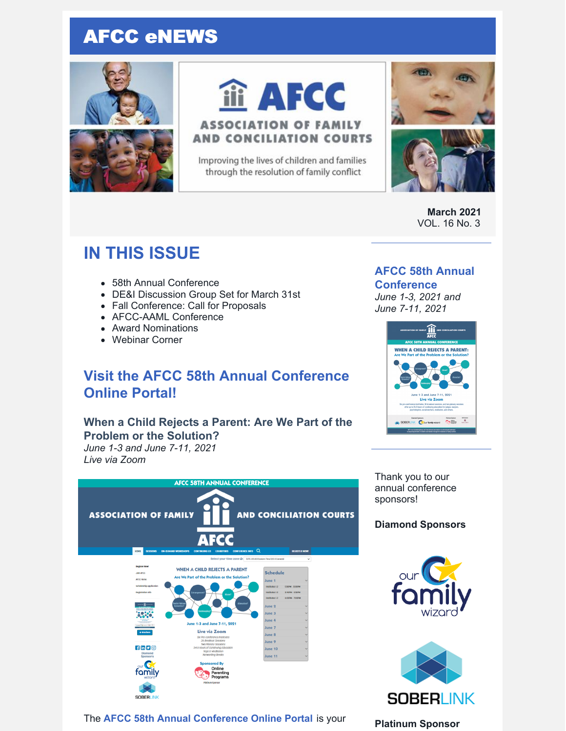# AFCC eNEWS





# iii AFCC

## **ASSOCIATION OF FAMILY AND CONCILIATION COURTS**

Improving the lives of children and families through the resolution of family conflict



**March 2021** VOL. 16 No. 3

# **IN THIS ISSUE**

- 58th Annual Conference
- DE&I Discussion Group Set for March 31st
- Fall Conference: Call for Proposals
- AFCC-AAML Conference
- Award Nominations
- Webinar Corner

# **Visit the AFCC 58th Annual Conference Online Portal!**

#### **When a Child Rejects a Parent: Are We Part of the Problem or the Solution?**

*June 1-3 and June 7-11, 2021 Live via Zoom*



The **AFCC 58th Annual [Conference](https://www.afccnet.org/58thannualconference/) Online Portal** is your

## **AFCC 58th Annual**

#### **Conference** *June 1-3, 2021 and June 7-11, 2021*



Thank you to our annual conference sponsors!

#### **Diamond Sponsors**





#### **Platinum Sponsor**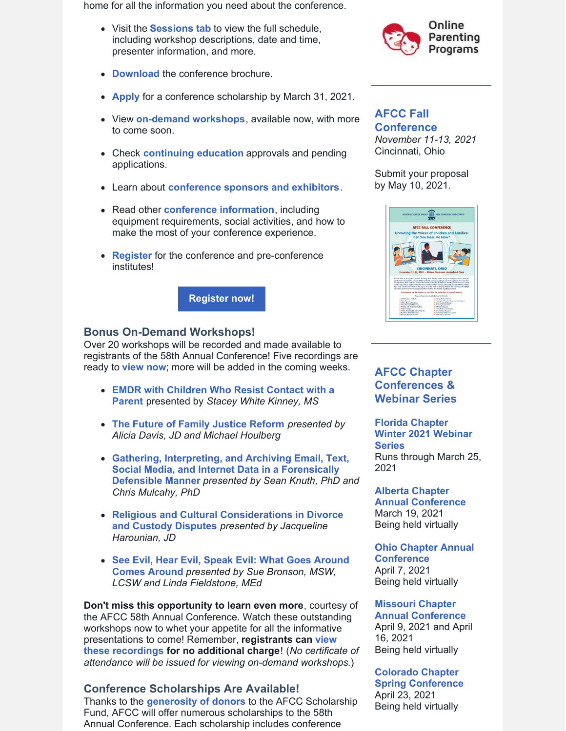home for all the information you need about the conference.

- Visit the **[Sessions](https://www.afccnet.org/58thannualconference/Sessions) tab** to view the full schedule, including workshop descriptions, date and time, presenter information, and more.
- **[Download](https://www.afccnet.org/Portals/7/AFCC 58th Annual Conference Brochure.pdf)** the conference brochure.
- **[Apply](https://www.surveymonkey.com/r/58thAnnualScholarship)** for a conference scholarship by March 31, 2021.
- View **[on-demand](https://www.afccnet.org/58thannualconference/On-Demand-Workshops) workshops**, available now, with more to come soon.
- Check **[continuing](https://www.afccnet.org/58thannualconference/Continuing-Ed) education** approvals and pending applications.
- Learn about **[conference](https://www.afccnet.org/58thannualconference/Sponsors) sponsors and exhibitors**.
- Read other **conference [information](https://www.afccnet.org/58thannualconference/More-Info)**, including equipment requirements, social activities, and how to make the most of your conference experience.
- **[Register](https://members.afccnet.org/events/event-registration/?id=c8475628-5321-4332-93c3-20358b9d98fb)** for the conference and pre-conference institutes!



#### **Bonus On-Demand Workshops!**

Over 20 workshops will be recorded and made available to registrants of the 58th Annual Conference! Five recordings are ready to **[view](https://www.afccnet.org/58thannualconference/On-Demand-Workshops) now**; more will be added in the coming weeks.

- **EMDR with Children Who Resist Contact with a Parent** [presented](https://www.afccnet.org/58thannualconference/On-Demand-Workshops/ctl/ViewWebinar/WebinarID/21/mid/1279) by *Stacey White Kinney, MS*
- **The Future of Family [Justice](https://www.afccnet.org/58thannualconference/On-Demand-Workshops/ctl/ViewWebinar/WebinarID/14/mid/1278) Reform** *presented by Alicia Davis, JD and Michael Houlberg*
- **Gathering, Interpreting, and Archiving Email, Text, Social Media, and Internet Data in a [Forensically](https://www.afccnet.org/58thannualconference/On-Demand-Workshops/ctl/ViewWebinar/WebinarID/23/mid/1279) Defensible Manner** *presented by Sean Knuth, PhD and Chris Mulcahy, PhD*
- **Religious and Cultural [Considerations](https://www.afccnet.org/58thannualconference/On-Demand-Workshops/ctl/ViewWebinar/WebinarID/40/mid/1278) in Divorce and Custody Disputes** *presented by Jacqueline Harounian, JD*
- **See Evil, Hear Evil, Speak Evil: What Goes Around Comes Around** *[presented](https://www.afccnet.org/58thannualconference/On-Demand-Workshops/ctl/ViewWebinar/WebinarID/30/mid/1278) by Sue Bronson, MSW, LCSW and Linda Fieldstone, MEd*

**Don't miss this opportunity to learn even more**, courtesy of the AFCC 58th Annual Conference. Watch these outstanding workshops now to whet your appetite for all the informative [presentations](https://www.afccnet.org/58thannualconference/On-Demand-Workshops) to come! Remember, **registrants can view these recordings for no additional charge**! (*No certificate of attendance will be issued for viewing on-demand workshops*.)

#### **Conference Scholarships Are Available!**

Thanks to the **[generosity](https://www.afccnet.org/Portals/0/Scholarship_Fund_Contributors_2020-21_1.pdf) of donors** to the AFCC Scholarship Fund, AFCC will offer numerous scholarships to the 58th Annual Conference. Each scholarship includes conference



#### **AFCC Fall [Conference](https://www.afccnet.org/Conferences-Training/AFCC-Conferences/ctl/ViewConference/ConferenceID/362/mid/615)**

*November 11-13, 2021* Cincinnati, Ohio

Submit your proposal by May 10, 2021.



#### **AFCC Chapter Conferences & Webinar Series**

**Florida Chapter Winter 2021 [Webinar](https://files.constantcontact.com/6beb60a3701/66935005-d480-42e6-a1bc-aa203624d24a.pdf) Series** Runs through March 25, 2021

#### **Alberta Chapter Annual [Conference](https://www.afccalberta.org/)** March 19, 2021 Being held virtually

**Ohio Chapter Annual [Conference](http://ohioafcc.org/)** April 7, 2021 Being held virtually

#### **Missouri Chapter**

**Annual [Conference](http://www.moafcc.org/events.html)** April 9, 2021 and April 16, 2021 Being held virtually

#### **Colorado Chapter**

**Spring [Conference](http://www.coafcc.org/eventsCOAFCC21.php)** April 23, 2021 Being held virtually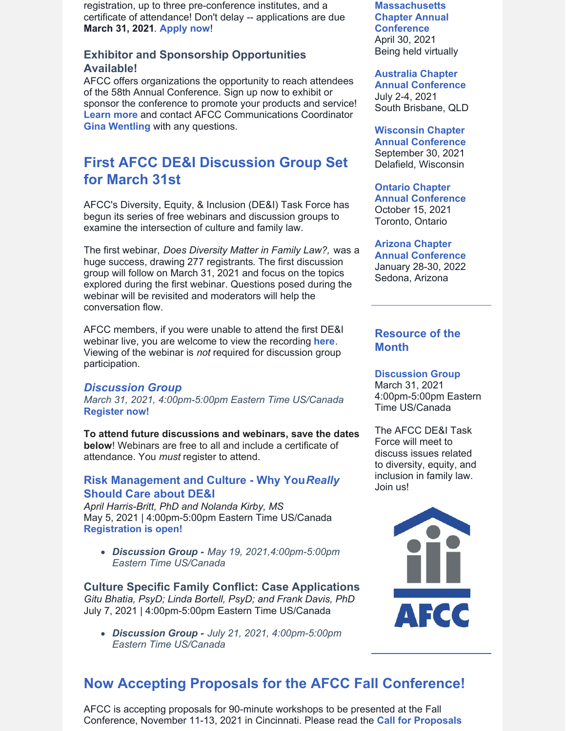registration, up to three pre-conference institutes, and a certificate of attendance! Don't delay -- applications are due **March 31, 2021**. **[Apply](https://www.surveymonkey.com/r/58thAnnualScholarship) now**!

#### **Exhibitor and Sponsorship Opportunities Available!**

AFCC offers organizations the opportunity to reach attendees of the 58th Annual Conference. Sign up now to exhibit or sponsor the conference to promote your products and service! **[Learn](https://files.constantcontact.com/6beb60a3701/76325dbc-c215-4a94-b05c-190218065644.pdf) more** and contact AFCC Communications Coordinator **Gina [Wentling](mailto:gwentling@afccnet.org)** with any questions.

# **First AFCC DE&I Discussion Group Set for March 31st**

AFCC's Diversity, Equity, & Inclusion (DE&I) Task Force has begun its series of free webinars and discussion groups to examine the intersection of culture and family law.

The first webinar, *Does Diversity Matter in Family Law?,* was a huge success, drawing 277 registrants. The first discussion group will follow on March 31, 2021 and focus on the topics explored during the first webinar. Questions posed during the webinar will be revisited and moderators will help the conversation flow.

AFCC members, if you were unable to attend the first DE&I webinar live, you are welcome to view the recording **[here](https://www.afccnet.org/Member-Center/Webinar-Archives/ctl/ViewConference/ConferenceID/418/mid/776)**. Viewing of the webinar is *not* required for discussion group participation.

#### *[Discussion](https://us02web.zoom.us/meeting/register/tZYtd-CsqTosGtVFQVxyqL-nmyJ5wjqeBfdo) Group*

*March 31, 2021, 4:00pm-5:00pm Eastern Time US/Canada* **[Register](https://us02web.zoom.us/meeting/register/tZYtd-CsqTosGtVFQVxyqL-nmyJ5wjqeBfdo) now!**

**To attend future discussions and webinars, save the dates below**! Webinars are free to all and include a certificate of attendance. You *must* register to attend.

#### **Risk [Management](https://www.afccnet.org/Conferences-Training/Webinars/ctl/ViewConference/ConferenceID/425/mid/772) and Culture - Why You***[Really](https://www.afccnet.org/Conferences-Training/Webinars/ctl/ViewConference/ConferenceID/425/mid/772)* **[Should](https://www.afccnet.org/Conferences-Training/Webinars/ctl/ViewConference/ConferenceID/425/mid/772) Care about DE&I**

*April Harris-Britt, PhD and Nolanda Kirby, MS* May 5, 2021 | 4:00pm-5:00pm Eastern Time US/Canada **[Registration](https://www.afccnet.org/Conferences-Training/Webinars/ctl/ViewConference/ConferenceID/425/mid/772) is open!**

*Discussion Group - May 19, 2021,4:00pm-5:00pm Eastern Time US/Canada*

**Culture Specific Family Conflict: Case Applications** *Gitu Bhatia, PsyD; Linda Bortell, PsyD; and Frank Davis, PhD* July 7, 2021 | 4:00pm-5:00pm Eastern Time US/Canada

*Discussion Group - July 21, 2021, 4:00pm-5:00pm Eastern Time US/Canada*

**[Massachusetts](http://www.maafcc.org/events---conferences.html) Chapter Annual Conference** April 30, 2021 Being held virtually

#### **Australia Chapter**

**Annual [Conference](http://afccnet.org.au/conferences/)** July 2-4, 2021 South Brisbane, QLD

## **[Wisconsin](http://www.afccwi.org/Index.html) Chapter**

**Annual Conference** September 30, 2021 Delafield, Wisconsin

#### **Ontario Chapter**

**Annual [Conference](https://afccontario.ca/)** October 15, 2021 Toronto, Ontario

#### **Arizona Chapter**

**Annual [Conference](https://www.azafcc.org/)** January 28-30, 2022 Sedona, Arizona

#### **Resource of the Month**

#### **[Discussion](https://us02web.zoom.us/meeting/register/tZYtd-CsqTosGtVFQVxyqL-nmyJ5wjqeBfdo) Group**

March 31, 2021 4:00pm-5:00pm Eastern Time US/Canada

The AFCC DE&I Task Force will meet to discuss issues related to diversity, equity, and inclusion in family law. Join us!



# **Now Accepting Proposals for the AFCC Fall Conference!**

AFCC is accepting proposals for 90-minute workshops to be presented at the Fall Conference, November 11-13, 2021 in Cincinnati. Please read the **Call for [Proposals](https://www.afccnet.org/Portals/0/AFCC Cincinnati 2021 - CFP.pdf)**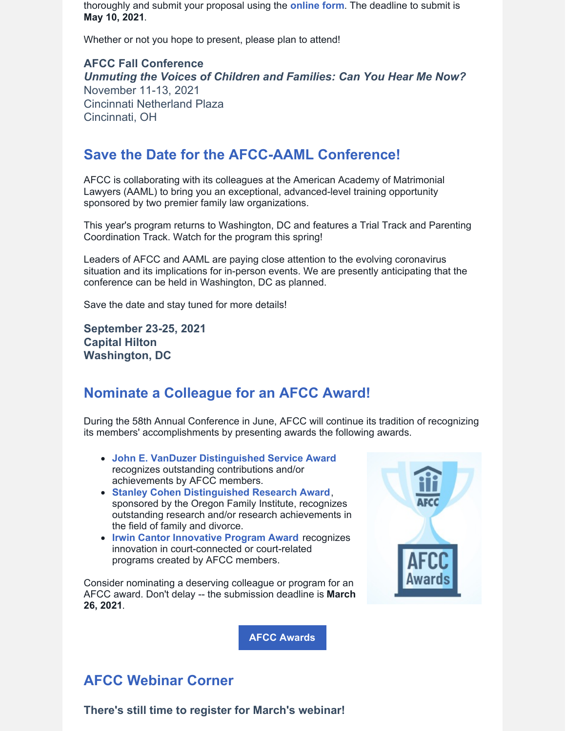thoroughly and submit your proposal using the **[online](https://www.surveymonkey.com/r/AFCC2021FallProposals) form**. The deadline to submit is **May 10, 2021**.

Whether or not you hope to present, please plan to attend!

**AFCC Fall Conference** *Unmuting the Voices of Children and Families: Can You Hear Me Now?* November 11-13, 2021 Cincinnati Netherland Plaza Cincinnati, OH

# **Save the Date for the AFCC-AAML Conference!**

AFCC is collaborating with its colleagues at the American Academy of Matrimonial Lawyers (AAML) to bring you an exceptional, advanced-level training opportunity sponsored by two premier family law organizations.

This year's program returns to Washington, DC and features a Trial Track and Parenting Coordination Track. Watch for the program this spring!

Leaders of AFCC and AAML are paying close attention to the evolving coronavirus situation and its implications for in-person events. We are presently anticipating that the conference can be held in Washington, DC as planned.

Save the date and stay tuned for more details!

**September 23-25, 2021 Capital Hilton Washington, DC**

# **Nominate a Colleague for an AFCC Award!**

During the 58th Annual Conference in June, AFCC will continue its tradition of recognizing its members' accomplishments by presenting awards the following awards.

**AFCC [Awards](https://www.afccnet.org/About/Awards)**

- **John E. VanDuzer [Distinguished](https://www.afccnet.org/About/Awards/ctl/ViewAward/AwardID/1/mid/543) Service Award** recognizes outstanding contributions and/or achievements by AFCC members.
- **Stanley Cohen [Distinguished](https://www.afccnet.org/About/Awards/ctl/ViewAward/AwardID/2/mid/543) Research Award**, sponsored by the Oregon Family Institute, recognizes outstanding research and/or research achievements in the field of family and divorce.
- **Irwin Cantor [Innovative](https://www.afccnet.org/About/Awards/ctl/ViewAward/AwardID/3/mid/543) Program Award** recognizes innovation in court-connected or court-related programs created by AFCC members.

Consider nominating a deserving colleague or program for an AFCC award. Don't delay -- the submission deadline is **March 26, 2021**.



# **AFCC Webinar Corner**

**There's still time to register for March's webinar!**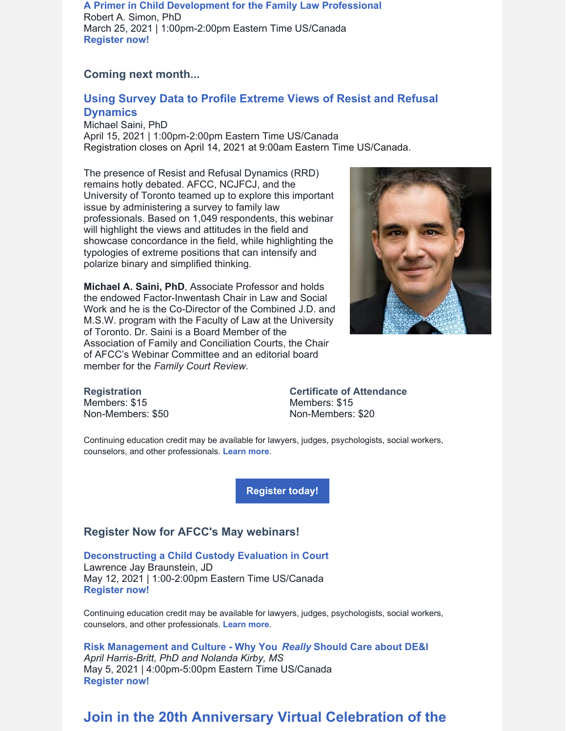**A Primer in Child [Development](https://www.afccnet.org/Conferences-Training/Webinars/ctl/ViewConference/ConferenceID/364/mid/772) for the Family Law Professional** Robert A. Simon, PhD March 25, 2021 | 1:00pm-2:00pm Eastern Time US/Canada **[Register](https://www.afccnet.org/Conferences-Training/Webinars/ctl/ViewConference/ConferenceID/364/mid/772) now!**

#### **Coming next month...**

#### **Using Survey Data to Profile Extreme Views of Resist and Refusal [Dynamics](https://www.afccnet.org/Conferences-Training/Webinars/ctl/ViewConference/ConferenceID/388/mid/772)**

Michael Saini, PhD April 15, 2021 | 1:00pm-2:00pm Eastern Time US/Canada Registration closes on April 14, 2021 at 9:00am Eastern Time US/Canada.

The presence of Resist and Refusal Dynamics (RRD) remains hotly debated. AFCC, NCJFCJ, and the University of Toronto teamed up to explore this important issue by administering a survey to family law professionals. Based on 1,049 respondents, this webinar will highlight the views and attitudes in the field and showcase concordance in the field, while highlighting the typologies of extreme positions that can intensify and polarize binary and simplified thinking.

**Michael A. Saini, PhD**, Associate Professor and holds the endowed Factor-Inwentash Chair in Law and Social Work and he is the Co-Director of the Combined J.D. and M.S.W. program with the Faculty of Law at the University of Toronto. Dr. Saini is a Board Member of the Association of Family and Conciliation Courts, the Chair of AFCC's Webinar Committee and an editorial board member for the *Family Court Review*.



**Registration** Members: \$15 Non-Members: \$50 **Certificate of Attendance** Members: \$15 Non-Members: \$20

Continuing education credit may be available for lawyers, judges, psychologists, social workers, counselors, and other professionals. **[Learn](https://www.afccnet.org/Conferences-Training/Webinars/ctl/ViewConference/ConferenceID/388/mid/772) more**.

**[Register](https://www.afccnet.org/Conferences-Training/Webinars/ctl/ViewConference/ConferenceID/388/mid/772) today!**

#### **Register Now for AFCC's May webinars!**

**[Deconstructing](https://www.afccnet.org/Conferences-Training/Webinars/ctl/ViewConference/ConferenceID/390/mid/772) a Child Custody Evaluation in Court** Lawrence Jay Braunstein, JD May 12, 2021 | 1:00-2:00pm Eastern Time US/Canada **[Register](https://www.afccnet.org/Conferences-Training/Webinars/ctl/ViewConference/ConferenceID/390/mid/772) now!**

Continuing education credit may be available for lawyers, judges, psychologists, social workers, counselors, and other professionals. **[Learn](https://www.afccnet.org/Conferences-Training/Webinars/ctl/ViewConference/ConferenceID/390/mid/772) more**.

**Risk [Management](https://www.afccnet.org/Conferences-Training/Webinars/ctl/ViewConference/ConferenceID/425/mid/772) and Culture - Why You** *[Really](https://www.afccnet.org/Conferences-Training/Webinars/ctl/ViewConference/ConferenceID/425/mid/772)* **[Should](https://www.afccnet.org/Conferences-Training/Webinars/ctl/ViewConference/ConferenceID/425/mid/772) Care about DE&I** *April Harris-Britt, PhD and Nolanda Kirby, MS* May 5, 2021 | 4:00pm-5:00pm Eastern Time US/Canada **[Register](https://www.afccnet.org/Conferences-Training/Webinars/ctl/ViewConference/ConferenceID/425/mid/772) now!**

# **Join in the 20th Anniversary Virtual Celebration of the**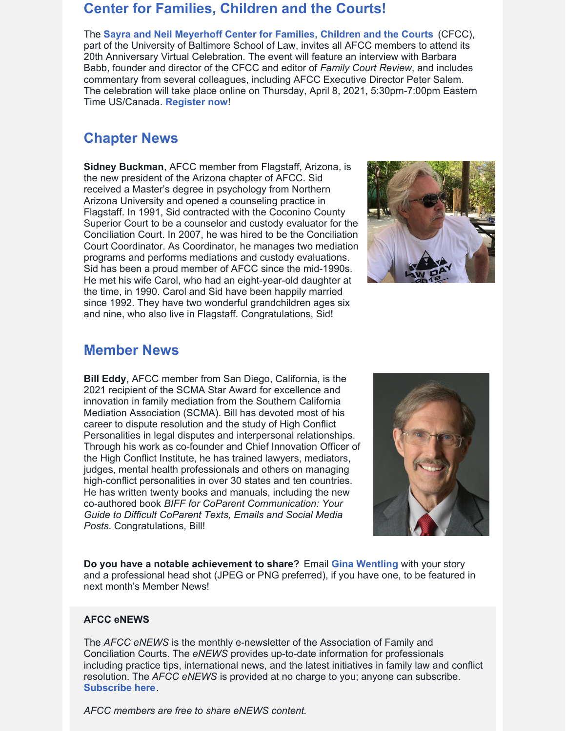# **Center for Families, Children and the Courts!**

The **Sayra and Neil [Meyerhoff](https://law.ubalt.edu/centers/cfcc/index.cfm) Center for Families, Children and the Courts** (CFCC), part of the University of Baltimore School of Law, invites all AFCC members to attend its 20th Anniversary Virtual Celebration. The event will feature an interview with Barbara Babb, founder and director of the CFCC and editor of *Family Court Review*, and includes commentary from several colleagues, including AFCC Executive Director Peter Salem. The celebration will take place online on Thursday, April 8, 2021, 5:30pm-7:00pm Eastern Time US/Canada. **[Register](https://www.eventbrite.com/e/135910460847) now**!

# **Chapter News**

**Sidney Buckman**, AFCC member from Flagstaff, Arizona, is the new president of the Arizona chapter of AFCC. Sid received a Master's degree in psychology from Northern Arizona University and opened a counseling practice in Flagstaff. In 1991, Sid contracted with the Coconino County Superior Court to be a counselor and custody evaluator for the Conciliation Court. In 2007, he was hired to be the Conciliation Court Coordinator. As Coordinator, he manages two mediation programs and performs mediations and custody evaluations. Sid has been a proud member of AFCC since the mid-1990s. He met his wife Carol, who had an eight-year-old daughter at the time, in 1990. Carol and Sid have been happily married since 1992. They have two wonderful grandchildren ages six and nine, who also live in Flagstaff. Congratulations, Sid!



# **Member News**

**Bill Eddy**, AFCC member from San Diego, California, is the 2021 recipient of the SCMA Star Award for excellence and innovation in family mediation from the Southern California Mediation Association (SCMA). Bill has devoted most of his career to dispute resolution and the study of High Conflict Personalities in legal disputes and interpersonal relationships. Through his work as co-founder and Chief Innovation Officer of the High Conflict Institute, he has trained lawyers, mediators, judges, mental health professionals and others on managing high-conflict personalities in over 30 states and ten countries. He has written twenty books and manuals, including the new co-authored book *BIFF for CoParent Communication: Your Guide to Difficult CoParent Texts, Emails and Social Media Posts*. Congratulations, Bill!



**Do you have a notable achievement to share?** Email **Gina [Wentling](mailto:gwentling@afccnet.org)** with your story and a professional head shot (JPEG or PNG preferred), if you have one, to be featured in next month's Member News!

#### **AFCC eNEWS**

The *AFCC eNEWS* is the monthly e-newsletter of the Association of Family and Conciliation Courts. The *eNEWS* provides up-to-date information for professionals including practice tips, international news, and the latest initiatives in family law and conflict resolution. The *AFCC eNEWS* is provided at no charge to you; anyone can subscribe. **[Subscribe](http://www.afccnet.org/Resource-Center/AFCC-eNEWS) here**.

*AFCC members are free to share eNEWS content.*